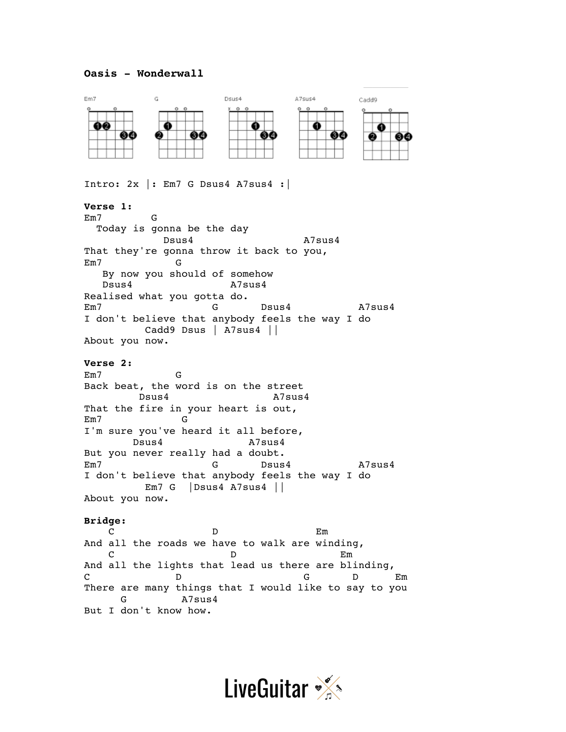## **Oasis - Wonderwall**



Intro:  $2x$  |: Em7 G Dsus4 A7sus4 : **Verse 1:** Em7 G Today is gonna be the day Dsus4 A7sus4 That they're gonna throw it back to you, Em7 G By now you should of somehow Dsus4 A7sus4 Realised what you gotta do. Em7 G Dsus4 A7sus4 I don't believe that anybody feels the way I do Cadd9 Dsus | A7sus4 || About you now. **Verse 2:** Em7 G Back beat, the word is on the street Dsus4 A7sus4 That the fire in your heart is out, Em7 G I'm sure you've heard it all before, Dsus4 A7sus4 But you never really had a doubt. Em7 G Dsus4 A7sus4 I don't believe that anybody feels the way I do Em7 G |Dsus4 A7sus4 || About you now.

## **Bridge:**

C D Em And all the roads we have to walk are winding, C D Em And all the lights that lead us there are blinding, C D D G D Em There are many things that I would like to say to you G A7sus4 But I don't know how.